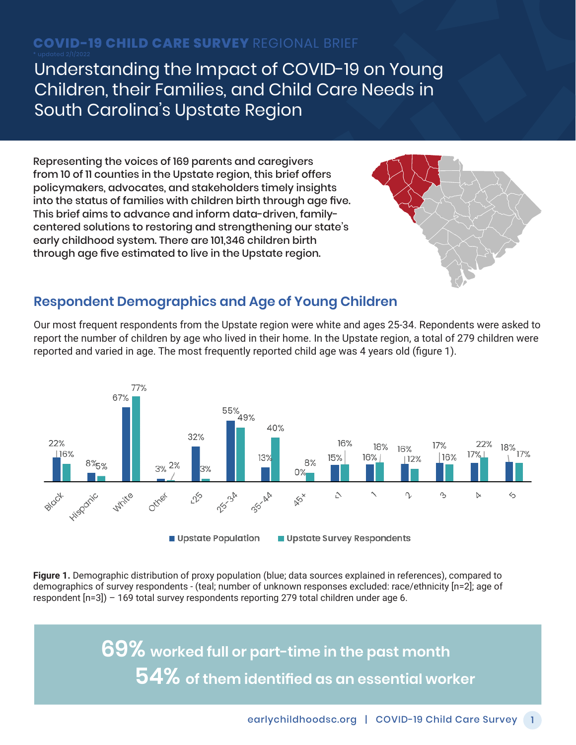# **COVID-19 CHILD CARE SURVEY** REGIONAL BRIEF

Understanding the Impact of COVID-19 on Young Children, their Families, and Child Care Needs in South Carolina's Upstate Region

Representing the voices of 169 parents and caregivers from 10 of 11 counties in the Upstate region, this brief offers policymakers, advocates, and stakeholders timely insights into the status of families with children birth through age five. This brief aims to advance and inform data-driven, familycentered solutions to restoring and strengthening our state's early childhood system. There are 101,346 children birth through age five estimated to live in the Upstate region.



#### **Respondent Demographics and Age of Young Children**

Our most frequent respondents from the Upstate region were white and ages 25-34. Repondents were asked to report the number of children by age who lived in their home. In the Upstate region, a total of 279 children were reported and varied in age. The most frequently reported child age was 4 years old (figure 1).



**Figure 1.** Demographic distribution of proxy population (blue; data sources explained in references), compared to demographics of survey respondents - (teal; number of unknown responses excluded: race/ethnicity [n=2]; age of respondent [n=3]) – 169 total survey respondents reporting 279 total children under age 6.

> **69% worked full or part-time in the past month 54% of them identified as an essential worker**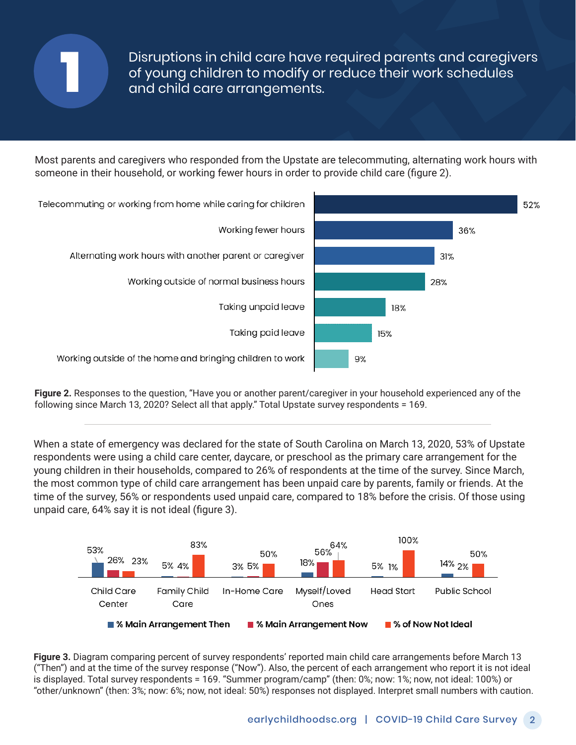

Disruptions in child care have required parents and caregivers of young children to modify or reduce their work schedules and child care arrangements.

Most parents and caregivers who responded from the Upstate are telecommuting, alternating work hours with someone in their household, or working fewer hours in order to provide child care (figure 2).



**Figure 2.** Responses to the question, "Have you or another parent/caregiver in your household experienced any of the following since March 13, 2020? Select all that apply." Total Upstate survey respondents = 169.

When a state of emergency was declared for the state of South Carolina on March 13, 2020, 53% of Upstate respondents were using a child care center, daycare, or preschool as the primary care arrangement for the young children in their households, compared to 26% of respondents at the time of the survey. Since March, the most common type of child care arrangement has been unpaid care by parents, family or friends. At the time of the survey, 56% or respondents used unpaid care, compared to 18% before the crisis. Of those using unpaid care, 64% say it is not ideal (figure 3).



**Figure 3.** Diagram comparing percent of survey respondents' reported main child care arrangements before March 13 ("Then") and at the time of the survey response ("Now"). Also, the percent of each arrangement who report it is not ideal is displayed. Total survey respondents = 169. "Summer program/camp" (then: 0%; now: 1%; now, not ideal: 100%) or "other/unknown" (then: 3%; now: 6%; now, not ideal: 50%) responses not displayed. Interpret small numbers with caution.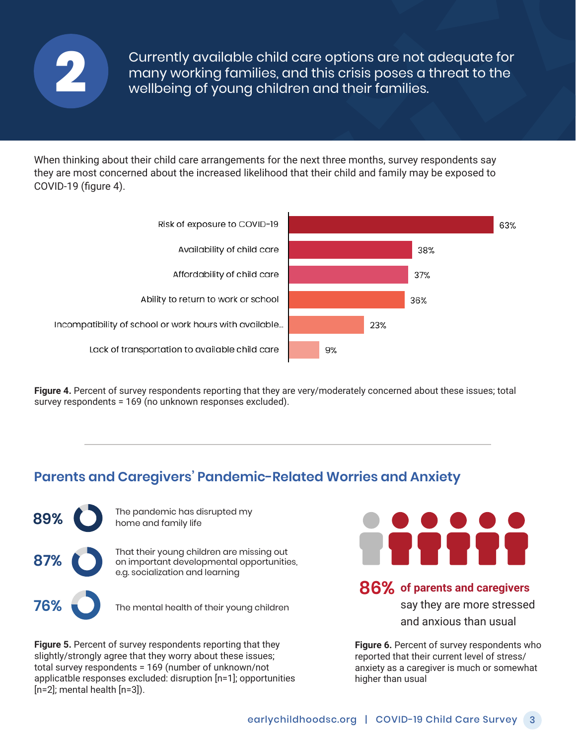

Currently available child care options are not adequate for many working families, and this crisis poses a threat to the **2** wellbeing of young children and their families.

When thinking about their child care arrangements for the next three months, survey respondents say they are most concerned about the increased likelihood that their child and family may be exposed to COVID-19 (figure 4).



**Figure 4.** Percent of survey respondents reporting that they are very/moderately concerned about these issues; total survey respondents = 169 (no unknown responses excluded).

### **Parents and Caregivers' Pandemic-Related Worries and Anxiety**



**89%** The pandemic has disrupted my<br>home and family life home and family life

**87%** That their young children are missing out<br>
on important developmental opportunities, e.g. socialization and learning

**76%** The mental health of their young children

**Figure 5.** Percent of survey respondents reporting that they slightly/strongly agree that they worry about these issues; total survey respondents = 169 (number of unknown/not applicatble responses excluded: disruption [n=1]; opportunities [n=2]; mental health [n=3]).



#### **86% of parents and caregivers**

say they are more stressed and anxious than usual

**Figure 6.** Percent of survey respondents who reported that their current level of stress/ anxiety as a caregiver is much or somewhat higher than usual